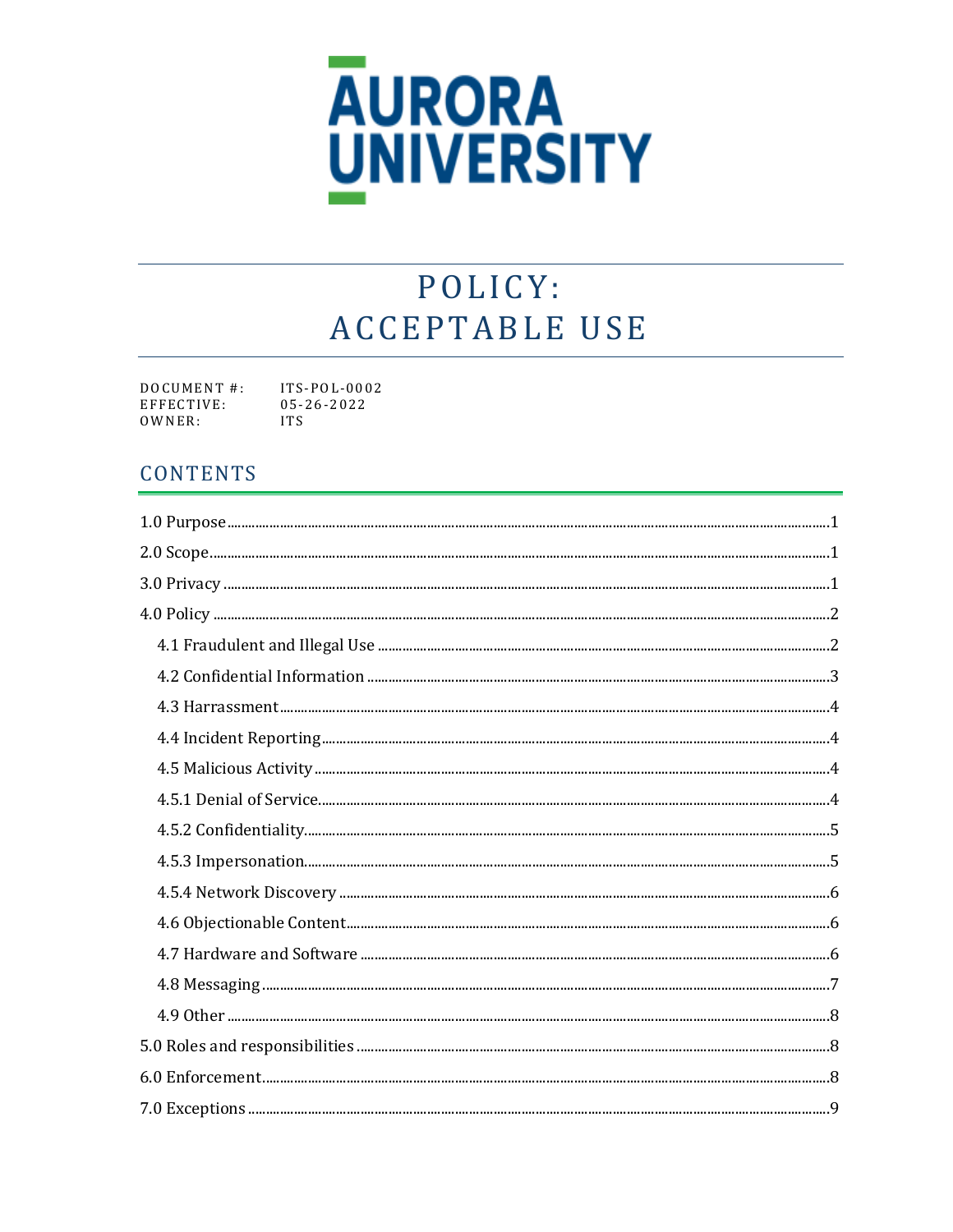

# POLICY: **ACCEPTABLE USE**

DOCUMENT#: ITS-POL-0002 EFFECTIVE:  $05 - 26 - 2022$ OWNER: **ITS** 

# **CONTENTS**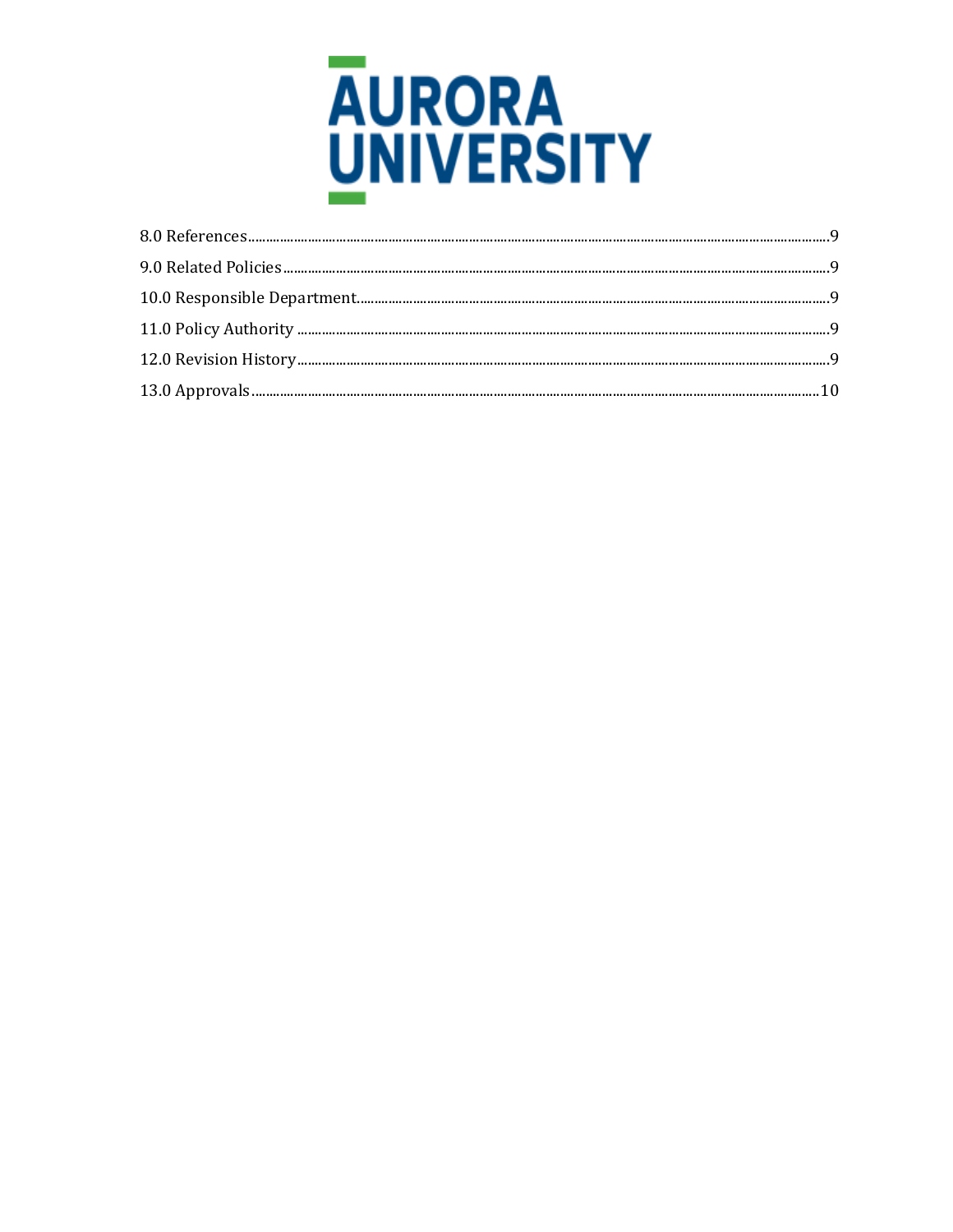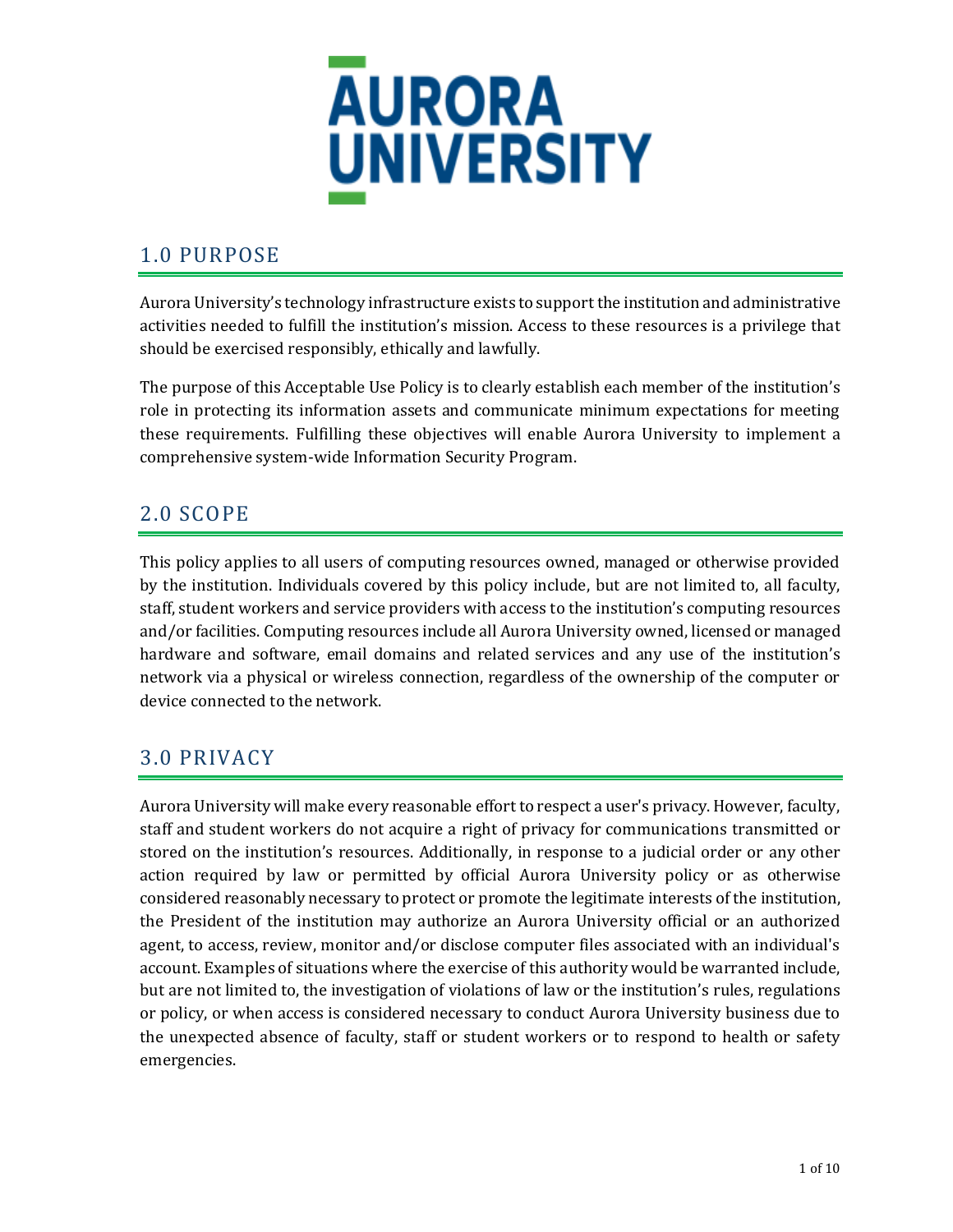

# <span id="page-2-0"></span>1.0 PURPOSE

Aurora University's technology infrastructure exists to support the institution and administrative activities needed to fulfill the institution's mission. Access to these resources is a privilege that should be exercised responsibly, ethically and lawfully.

The purpose of this Acceptable Use Policy is to clearly establish each member of the institution's role in protecting its information assets and communicate minimum expectations for meeting these requirements. Fulfilling these objectives will enable Aurora University to implement a comprehensive system-wide Information Security Program.

# <span id="page-2-1"></span>2.0 SCOPE

This policy applies to all users of computing resources owned, managed or otherwise provided by the institution. Individuals covered by this policy include, but are not limited to, all faculty, staff, student workers and service providers with access to the institution's computing resources and/or facilities. Computing resources include all Aurora University owned, licensed or managed hardware and software, email domains and related services and any use of the institution's network via a physical or wireless connection, regardless of the ownership of the computer or device connected to the network.

# <span id="page-2-2"></span>3.0 PRIVACY

Aurora University will make every reasonable effort to respect a user's privacy. However, faculty, staff and student workers do not acquire a right of privacy for communications transmitted or stored on the institution's resources. Additionally, in response to a judicial order or any other action required by law or permitted by official Aurora University policy or as otherwise considered reasonably necessary to protect or promote the legitimate interests of the institution, the President of the institution may authorize an Aurora University official or an authorized agent, to access, review, monitor and/or disclose computer files associated with an individual's account. Examples of situations where the exercise of this authority would be warranted include, but are not limited to, the investigation of violations of law or the institution's rules, regulations or policy, or when access is considered necessary to conduct Aurora University business due to the unexpected absence of faculty, staff or student workers or to respond to health or safety emergencies.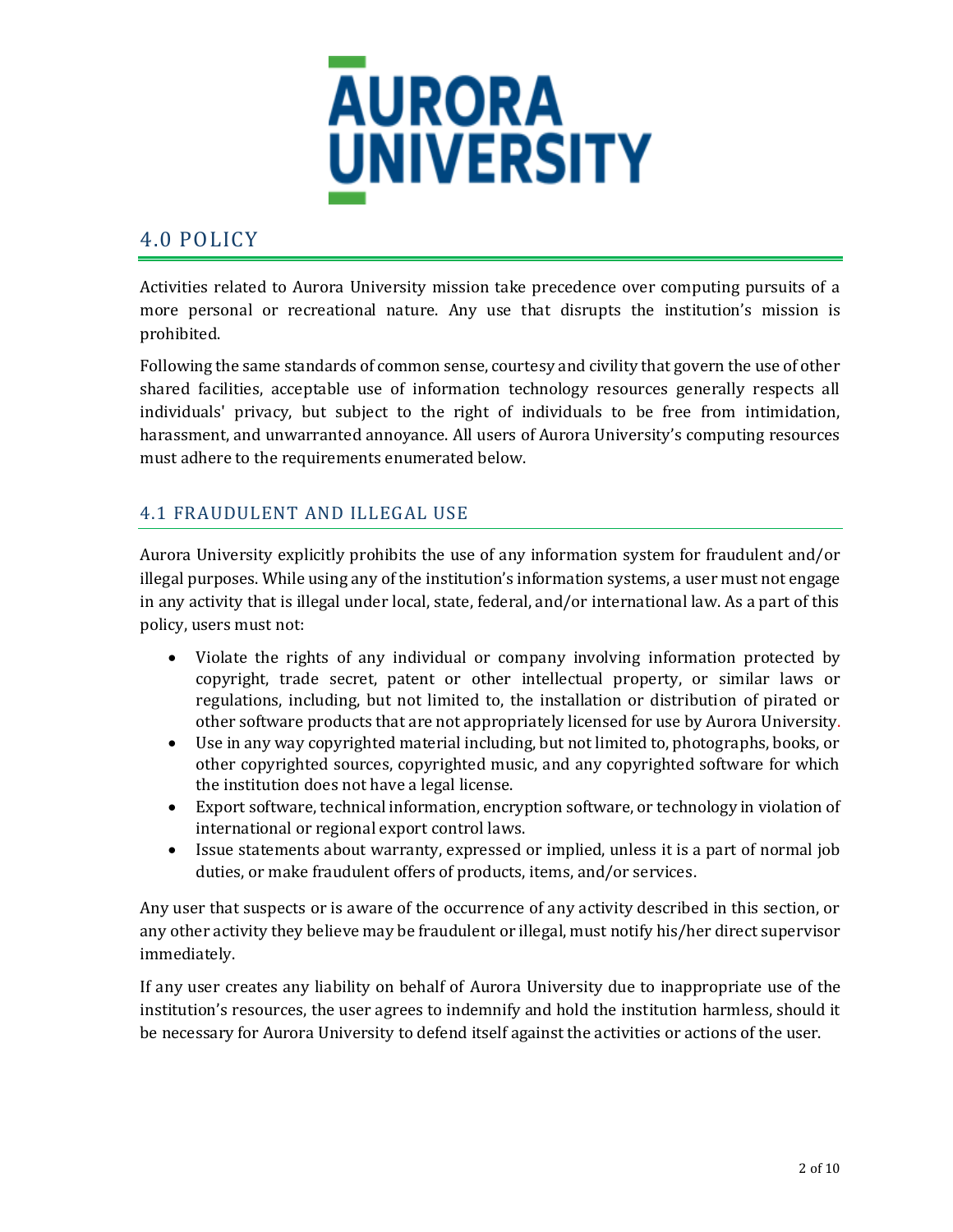

## <span id="page-3-0"></span>4.0 POLICY

Activities related to Aurora University mission take precedence over computing pursuits of a more personal or recreational nature. Any use that disrupts the institution's mission is prohibited.

Following the same standards of common sense, courtesy and civility that govern the use of other shared facilities, acceptable use of information technology resources generally respects all individuals' privacy, but subject to the right of individuals to be free from intimidation, harassment, and unwarranted annoyance. All users of Aurora University's computing resources must adhere to the requirements enumerated below.

#### <span id="page-3-1"></span>4.1 FRAUDULENT AND ILLEGAL USE

Aurora University explicitly prohibits the use of any information system for fraudulent and/or illegal purposes. While using any of the institution's information systems, a user must not engage in any activity that is illegal under local, state, federal, and/or international law. As a part of this policy, users must not:

- Violate the rights of any individual or company involving information protected by copyright, trade secret, patent or other intellectual property, or similar laws or regulations, including, but not limited to, the installation or distribution of pirated or other software products that are not appropriately licensed for use by Aurora University.
- Use in any way copyrighted material including, but not limited to, photographs, books, or other copyrighted sources, copyrighted music, and any copyrighted software for which the institution does not have a legal license.
- Export software, technical information, encryption software, or technology in violation of international or regional export control laws.
- Issue statements about warranty, expressed or implied, unless it is a part of normal job duties, or make fraudulent offers of products, items, and/or services.

Any user that suspects or is aware of the occurrence of any activity described in this section, or any other activity they believe may be fraudulent or illegal, must notify his/her direct supervisor immediately.

If any user creates any liability on behalf of Aurora University due to inappropriate use of the institution's resources, the user agrees to indemnify and hold the institution harmless, should it be necessary for Aurora University to defend itself against the activities or actions of the user.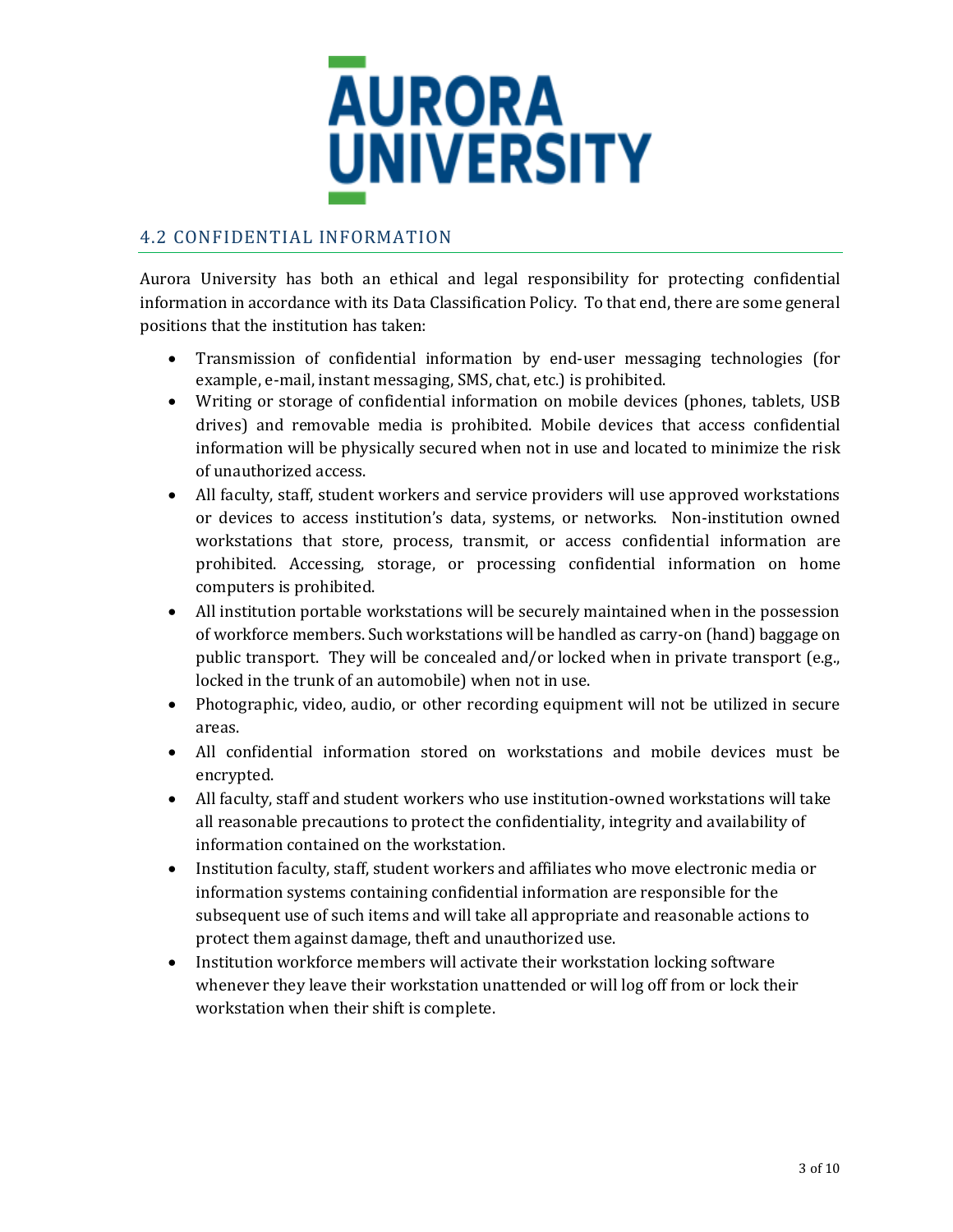

#### <span id="page-4-0"></span>4.2 CONFIDENTIAL INFORMATION

Aurora University has both an ethical and legal responsibility for protecting confidential information in accordance with its Data Classification Policy. To that end, there are some general positions that the institution has taken:

- Transmission of confidential information by end-user messaging technologies (for example, e-mail, instant messaging, SMS, chat, etc.) is prohibited.
- Writing or storage of confidential information on mobile devices (phones, tablets, USB drives) and removable media is prohibited. Mobile devices that access confidential information will be physically secured when not in use and located to minimize the risk of unauthorized access.
- All faculty, staff, student workers and service providers will use approved workstations or devices to access institution's data, systems, or networks. Non-institution owned workstations that store, process, transmit, or access confidential information are prohibited. Accessing, storage, or processing confidential information on home computers is prohibited.
- All institution portable workstations will be securely maintained when in the possession of workforce members. Such workstations will be handled as carry-on (hand) baggage on public transport. They will be concealed and/or locked when in private transport (e.g., locked in the trunk of an automobile) when not in use.
- Photographic, video, audio, or other recording equipment will not be utilized in secure areas.
- All confidential information stored on workstations and mobile devices must be encrypted.
- All faculty, staff and student workers who use institution-owned workstations will take all reasonable precautions to protect the confidentiality, integrity and availability of information contained on the workstation.
- Institution faculty, staff, student workers and affiliates who move electronic media or information systems containing confidential information are responsible for the subsequent use of such items and will take all appropriate and reasonable actions to protect them against damage, theft and unauthorized use.
- Institution workforce members will activate their workstation locking software whenever they leave their workstation unattended or will log off from or lock their workstation when their shift is complete.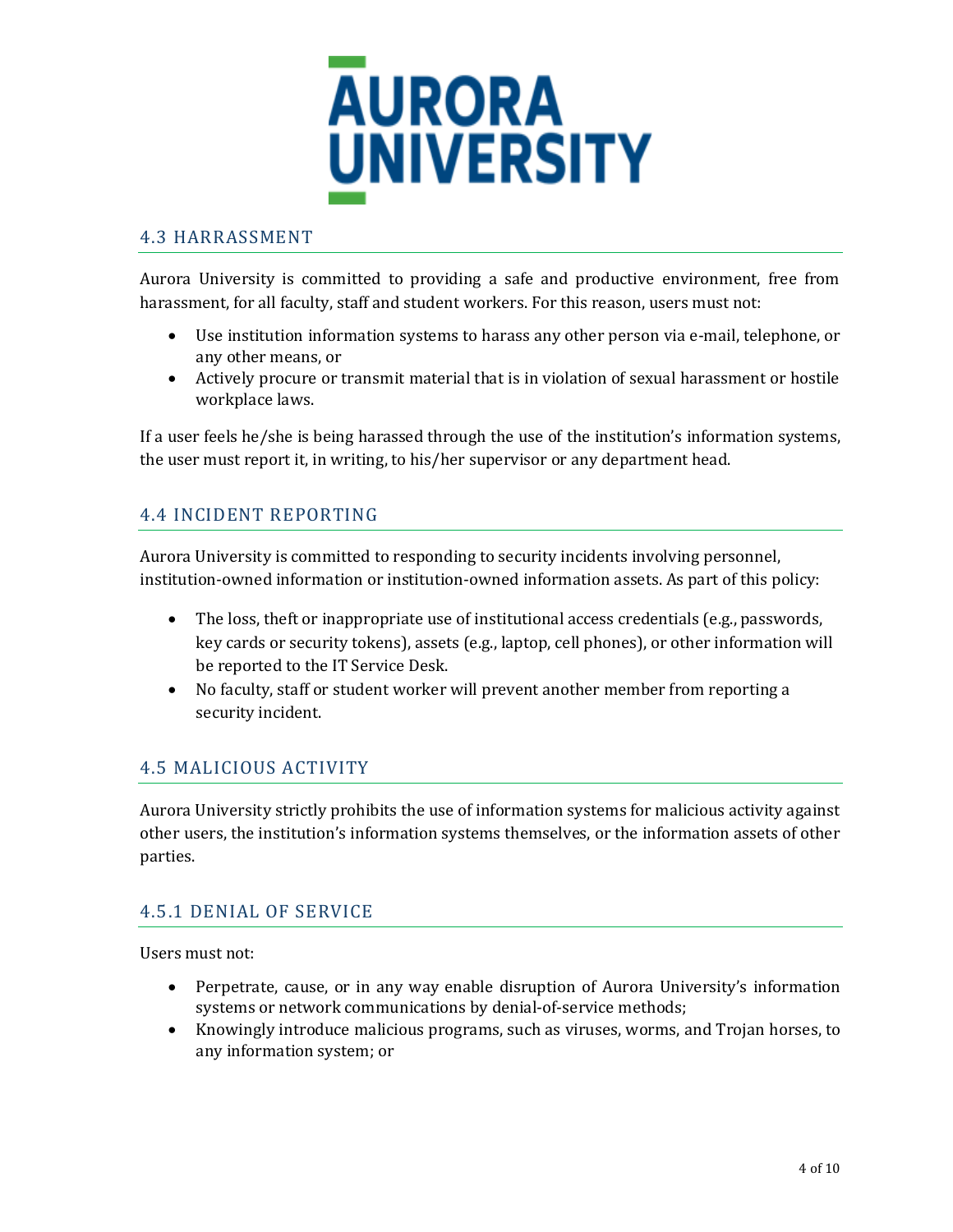

#### <span id="page-5-0"></span>4.3 HARRASSMENT

Aurora University is committed to providing a safe and productive environment, free from harassment, for all faculty, staff and student workers. For this reason, users must not:

- Use institution information systems to harass any other person via e-mail, telephone, or any other means, or
- Actively procure or transmit material that is in violation of sexual harassment or hostile workplace laws.

If a user feels he/she is being harassed through the use of the institution's information systems, the user must report it, in writing, to his/her supervisor or any department head.

#### <span id="page-5-1"></span>4.4 INCIDENT REPORTING

Aurora University is committed to responding to security incidents involving personnel, institution-owned information or institution-owned information assets. As part of this policy:

- The loss, theft or inappropriate use of institutional access credentials (e.g., passwords, key cards or security tokens), assets (e.g., laptop, cell phones), or other information will be reported to the IT Service Desk.
- No faculty, staff or student worker will prevent another member from reporting a security incident.

#### <span id="page-5-2"></span>4.5 MALICIOUS ACTIVITY

Aurora University strictly prohibits the use of information systems for malicious activity against other users, the institution's information systems themselves, or the information assets of other parties.

#### <span id="page-5-3"></span>4.5.1 DENIAL OF SERVICE

Users must not:

- Perpetrate, cause, or in any way enable disruption of Aurora University's information systems or network communications by denial-of-service methods;
- Knowingly introduce malicious programs, such as viruses, worms, and Trojan horses, to any information system; or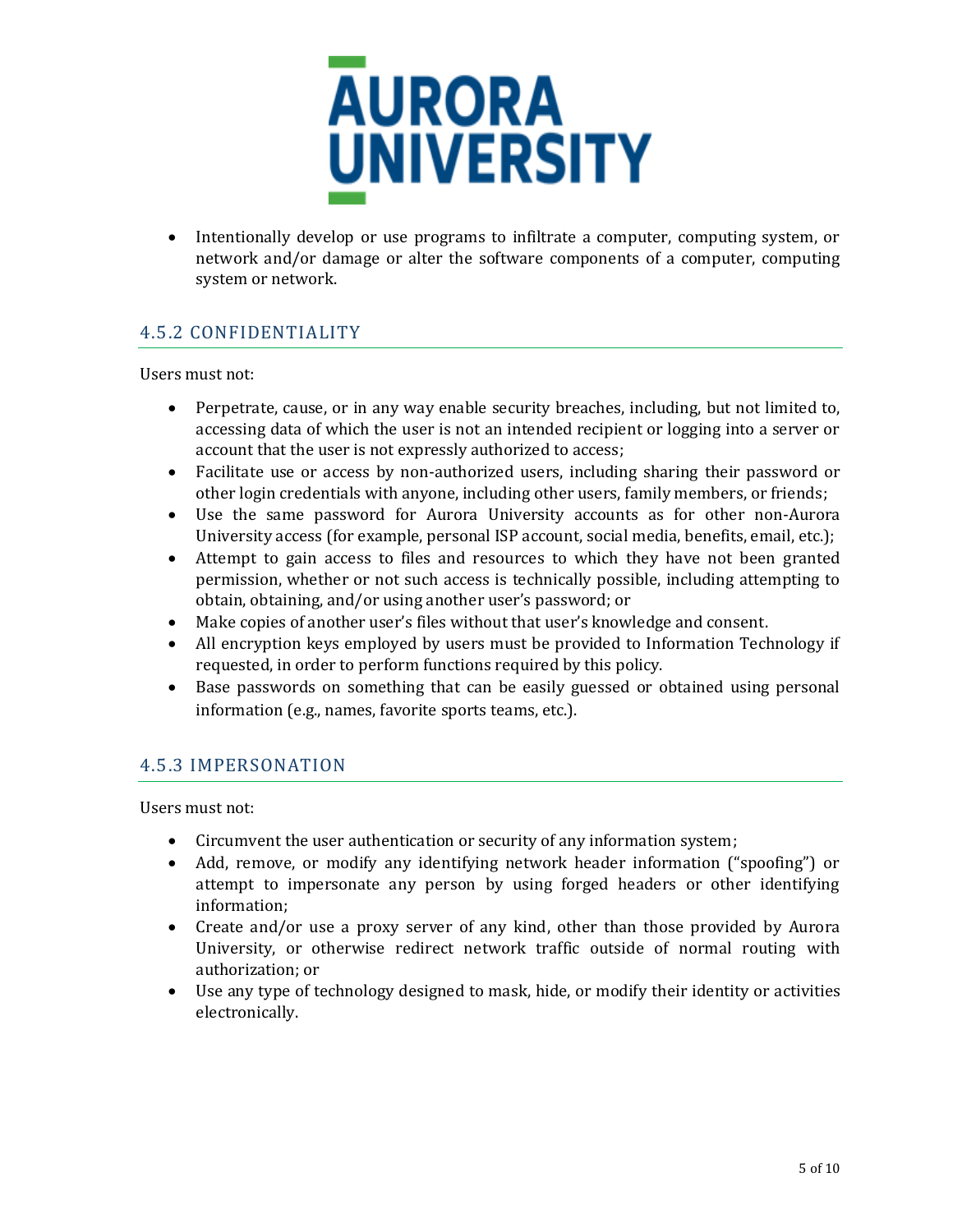

• Intentionally develop or use programs to infiltrate a computer, computing system, or network and/or damage or alter the software components of a computer, computing system or network.

#### <span id="page-6-0"></span>4.5.2 CONFIDENTIALITY

Users must not:

- Perpetrate, cause, or in any way enable security breaches, including, but not limited to, accessing data of which the user is not an intended recipient or logging into a server or account that the user is not expressly authorized to access;
- Facilitate use or access by non-authorized users, including sharing their password or other login credentials with anyone, including other users, family members, or friends;
- Use the same password for Aurora University accounts as for other non-Aurora University access (for example, personal ISP account, social media, benefits, email, etc.);
- Attempt to gain access to files and resources to which they have not been granted permission, whether or not such access is technically possible, including attempting to obtain, obtaining, and/or using another user's password; or
- Make copies of another user's files without that user's knowledge and consent.
- All encryption keys employed by users must be provided to Information Technology if requested, in order to perform functions required by this policy.
- Base passwords on something that can be easily guessed or obtained using personal information (e.g., names, favorite sports teams, etc.).

#### <span id="page-6-1"></span>4.5.3 IMPERSONATION

Users must not:

- Circumvent the user authentication or security of any information system;
- Add, remove, or modify any identifying network header information ("spoofing") or attempt to impersonate any person by using forged headers or other identifying information;
- Create and/or use a proxy server of any kind, other than those provided by Aurora University, or otherwise redirect network traffic outside of normal routing with authorization; or
- Use any type of technology designed to mask, hide, or modify their identity or activities electronically.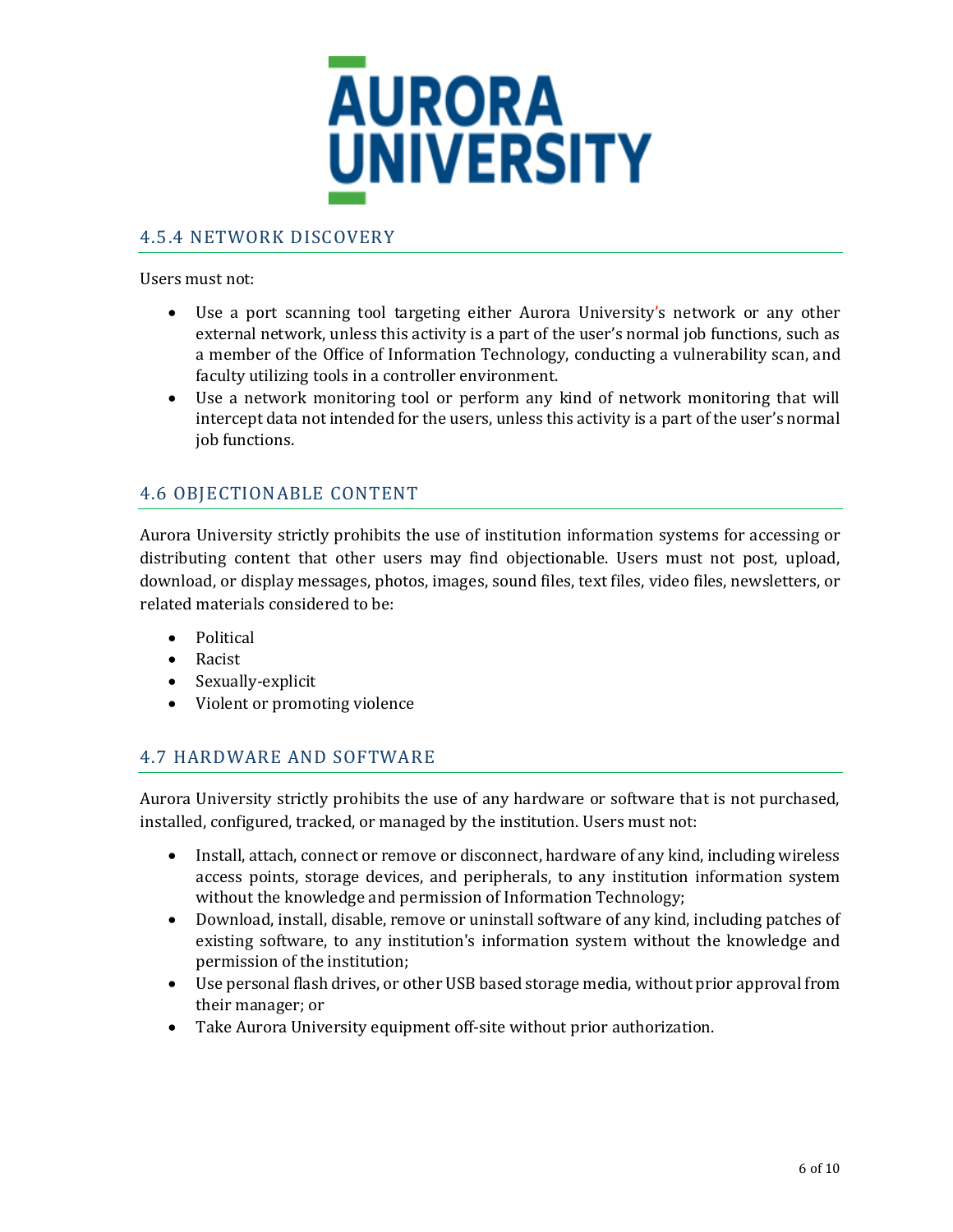

#### <span id="page-7-0"></span>4.5.4 NETWORK DISCOVERY

Users must not:

- Use a port scanning tool targeting either Aurora University's network or any other external network, unless this activity is a part of the user's normal job functions, such as a member of the Office of Information Technology, conducting a vulnerability scan, and faculty utilizing tools in a controller environment.
- Use a network monitoring tool or perform any kind of network monitoring that will intercept data not intended for the users, unless this activity is a part of the user's normal job functions.

#### <span id="page-7-1"></span>4.6 OBJECTIONABLE CONTENT

Aurora University strictly prohibits the use of institution information systems for accessing or distributing content that other users may find objectionable. Users must not post, upload, download, or display messages, photos, images, sound files, text files, video files, newsletters, or related materials considered to be:

- Political
- Racist
- Sexually-explicit
- Violent or promoting violence

#### <span id="page-7-2"></span>4.7 HARDWARE AND SOFTWARE

Aurora University strictly prohibits the use of any hardware or software that is not purchased, installed, configured, tracked, or managed by the institution. Users must not:

- Install, attach, connect or remove or disconnect, hardware of any kind, including wireless access points, storage devices, and peripherals, to any institution information system without the knowledge and permission of Information Technology;
- Download, install, disable, remove or uninstall software of any kind, including patches of existing software, to any institution's information system without the knowledge and permission of the institution;
- Use personal flash drives, or other USB based storage media, without prior approval from their manager; or
- Take Aurora University equipment off-site without prior authorization.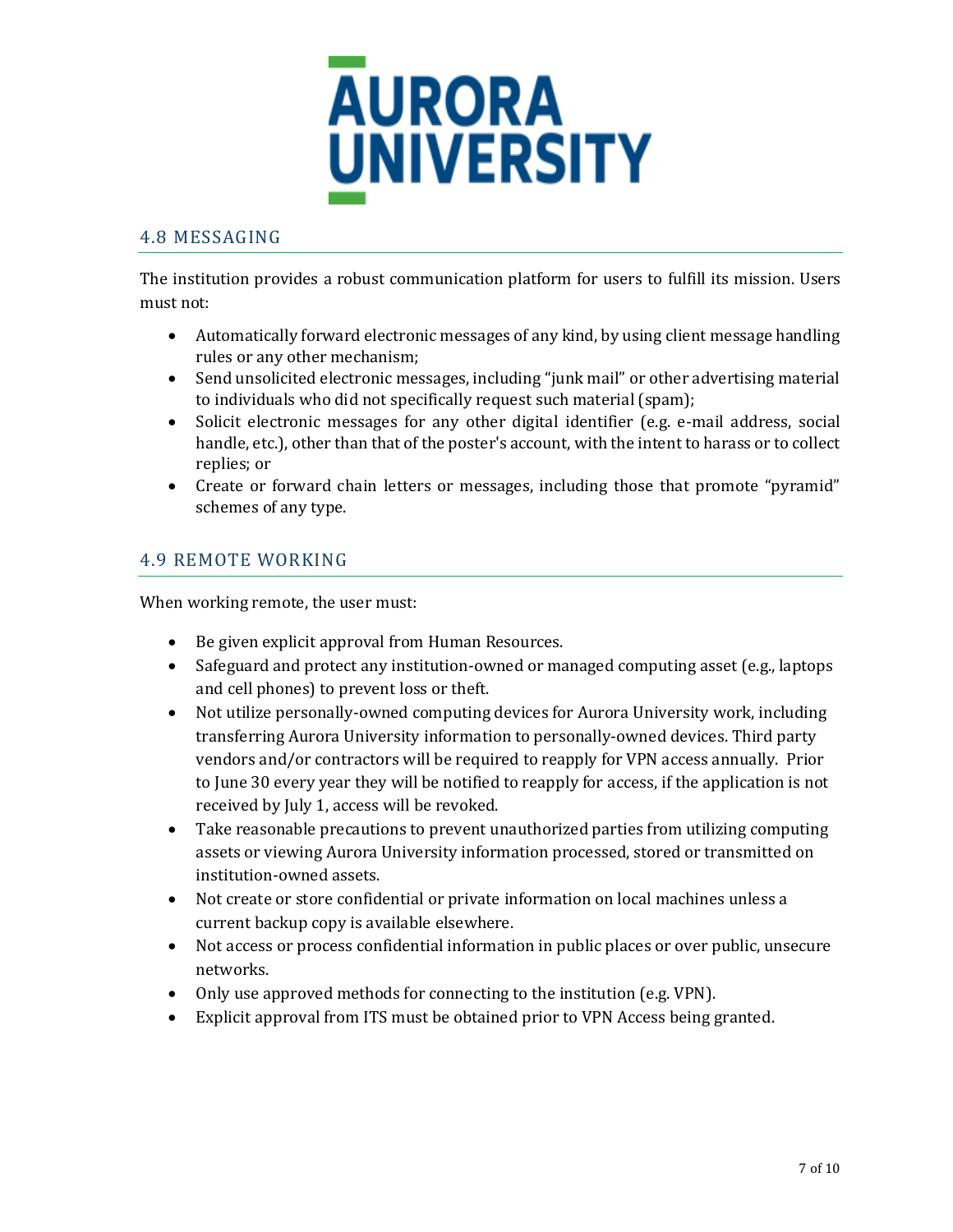

#### <span id="page-8-0"></span>4.8 MESSAGING

The institution provides a robust communication platform for users to fulfill its mission. Users must not:

- Automatically forward electronic messages of any kind, by using client message handling rules or any other mechanism;
- Send unsolicited electronic messages, including "junk mail" or other advertising material to individuals who did not specifically request such material (spam);
- Solicit electronic messages for any other digital identifier (e.g. e-mail address, social handle, etc.), other than that of the poster's account, with the intent to harass or to collect replies; or
- Create or forward chain letters or messages, including those that promote "pyramid" schemes of any type.

#### 4.9 REMOTE WORKING

When working remote, the user must:

- Be given explicit approval from Human Resources.
- Safeguard and protect any institution-owned or managed computing asset (e.g., laptops and cell phones) to prevent loss or theft.
- Not utilize personally-owned computing devices for Aurora University work, including transferring Aurora University information to personally-owned devices. Third party vendors and/or contractors will be required to reapply for VPN access annually. Prior to June 30 every year they will be notified to reapply for access, if the application is not received by July 1, access will be revoked.
- Take reasonable precautions to prevent unauthorized parties from utilizing computing assets or viewing Aurora University information processed, stored or transmitted on institution-owned assets.
- Not create or store confidential or private information on local machines unless a current backup copy is available elsewhere.
- Not access or process confidential information in public places or over public, unsecure networks.
- Only use approved methods for connecting to the institution (e.g. VPN).
- Explicit approval from ITS must be obtained prior to VPN Access being granted.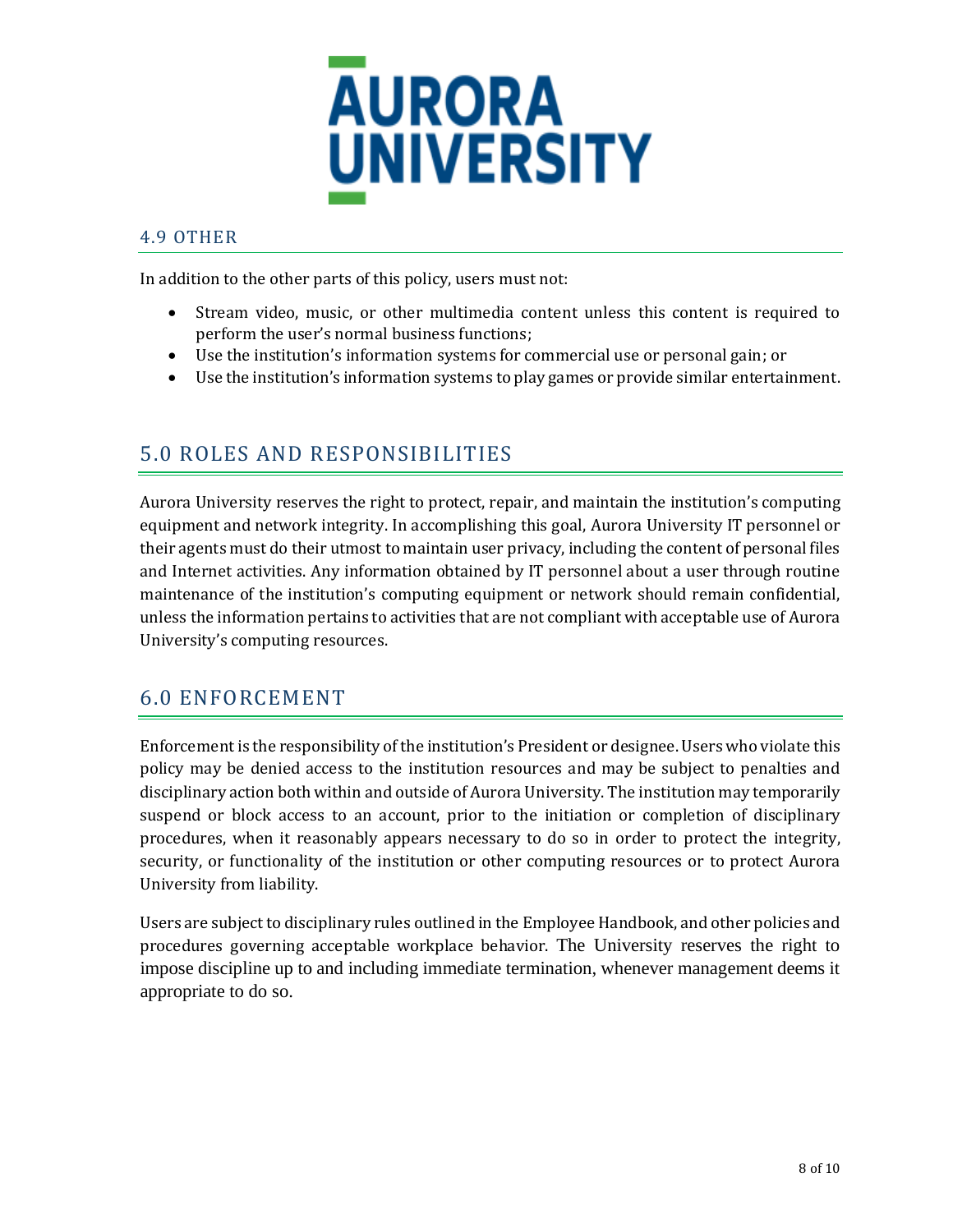

#### <span id="page-9-0"></span>4.9 OTHER

In addition to the other parts of this policy, users must not:

- Stream video, music, or other multimedia content unless this content is required to perform the user's normal business functions;
- Use the institution's information systems for commercial use or personal gain; or
- Use the institution's information systems to play games or provide similar entertainment.

## <span id="page-9-1"></span>5.0 ROLES AND RESPONSIBILITIES

Aurora University reserves the right to protect, repair, and maintain the institution's computing equipment and network integrity. In accomplishing this goal, Aurora University IT personnel or their agents must do their utmost to maintain user privacy, including the content of personal files and Internet activities. Any information obtained by IT personnel about a user through routine maintenance of the institution's computing equipment or network should remain confidential, unless the information pertains to activities that are not compliant with acceptable use of Aurora University's computing resources.

## <span id="page-9-2"></span>6.0 ENFORCEMENT

Enforcement is the responsibility of the institution's President or designee. Users who violate this policy may be denied access to the institution resources and may be subject to penalties and disciplinary action both within and outside of Aurora University. The institution may temporarily suspend or block access to an account, prior to the initiation or completion of disciplinary procedures, when it reasonably appears necessary to do so in order to protect the integrity, security, or functionality of the institution or other computing resources or to protect Aurora University from liability.

Users are subject to disciplinary rules outlined in the Employee Handbook, and other policies and procedures governing acceptable workplace behavior. The University reserves the right to impose discipline up to and including immediate termination, whenever management deems it appropriate to do so.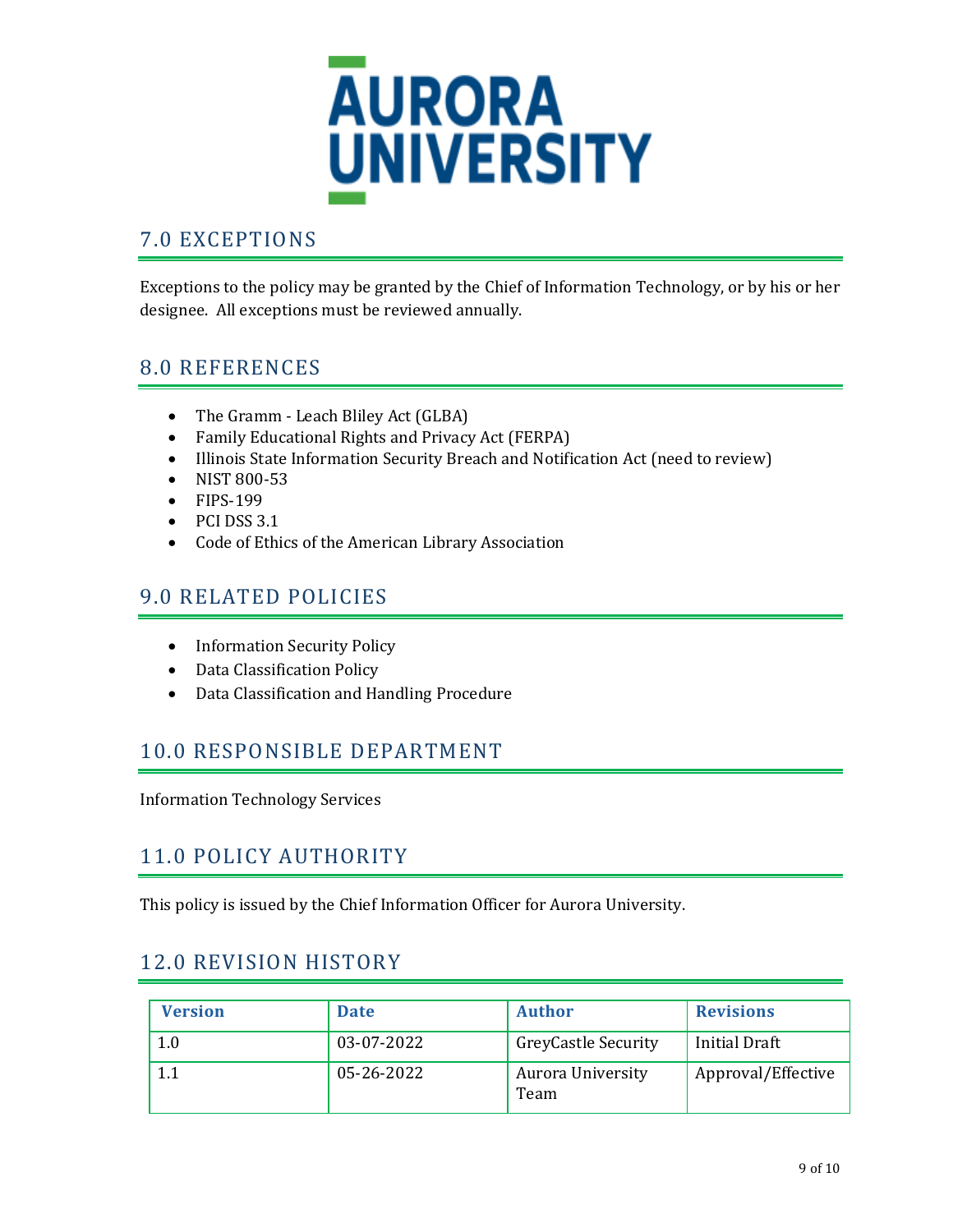

# <span id="page-10-0"></span>7.0 EXCEPTIONS

Exceptions to the policy may be granted by the Chief of Information Technology, or by his or her designee. All exceptions must be reviewed annually.

## <span id="page-10-1"></span>8.0 REFERENCES

- The Gramm Leach Bliley Act (GLBA)
- Family Educational Rights and Privacy Act (FERPA)
- Illinois State Information Security Breach and Notification Act (need to review)
- NIST 800-53
- FIPS-199
- PCI DSS 3.1
- Code of Ethics of the American Library Association

## <span id="page-10-2"></span>9.0 RELATED POLICIES

- Information Security Policy
- Data Classification Policy
- Data Classification and Handling Procedure

## <span id="page-10-3"></span>10.0 RESPONSIBLE DEPARTMENT

Information Technology Services

## <span id="page-10-4"></span>11.0 POLICY AUTHORITY

This policy is issued by the Chief Information Officer for Aurora University.

## <span id="page-10-5"></span>12.0 REVISION HISTORY

| <b>Version</b> | <b>Date</b> | <b>Author</b>                    | <b>Revisions</b>     |
|----------------|-------------|----------------------------------|----------------------|
| 1.0            | 03-07-2022  | <b>GreyCastle Security</b>       | <b>Initial Draft</b> |
|                | 05-26-2022  | <b>Aurora University</b><br>Team | Approval/Effective   |